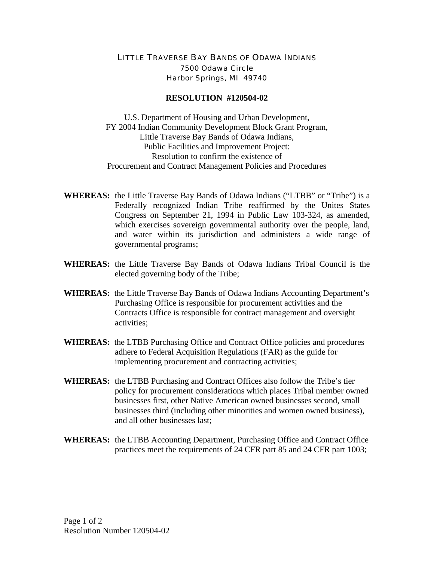## LITTLE TRAVERSE BAY BANDS OF ODAWA INDIANS 7500 Odawa Circle Harbor Springs, MI 49740

## **RESOLUTION #120504-02**

U.S. Department of Housing and Urban Development, FY 2004 Indian Community Development Block Grant Program, Little Traverse Bay Bands of Odawa Indians, Public Facilities and Improvement Project: Resolution to confirm the existence of Procurement and Contract Management Policies and Procedures

- **WHEREAS:** the Little Traverse Bay Bands of Odawa Indians ("LTBB" or "Tribe") is a Federally recognized Indian Tribe reaffirmed by the Unites States Congress on September 21, 1994 in Public Law 103-324, as amended, which exercises sovereign governmental authority over the people, land, and water within its jurisdiction and administers a wide range of governmental programs;
- **WHEREAS:** the Little Traverse Bay Bands of Odawa Indians Tribal Council is the elected governing body of the Tribe;
- **WHEREAS:** the Little Traverse Bay Bands of Odawa Indians Accounting Department's Purchasing Office is responsible for procurement activities and the Contracts Office is responsible for contract management and oversight activities;
- **WHEREAS:** the LTBB Purchasing Office and Contract Office policies and procedures adhere to Federal Acquisition Regulations (FAR) as the guide for implementing procurement and contracting activities;
- **WHEREAS:** the LTBB Purchasing and Contract Offices also follow the Tribe's tier policy for procurement considerations which places Tribal member owned businesses first, other Native American owned businesses second, small businesses third (including other minorities and women owned business), and all other businesses last;
- **WHEREAS:** the LTBB Accounting Department, Purchasing Office and Contract Office practices meet the requirements of 24 CFR part 85 and 24 CFR part 1003;